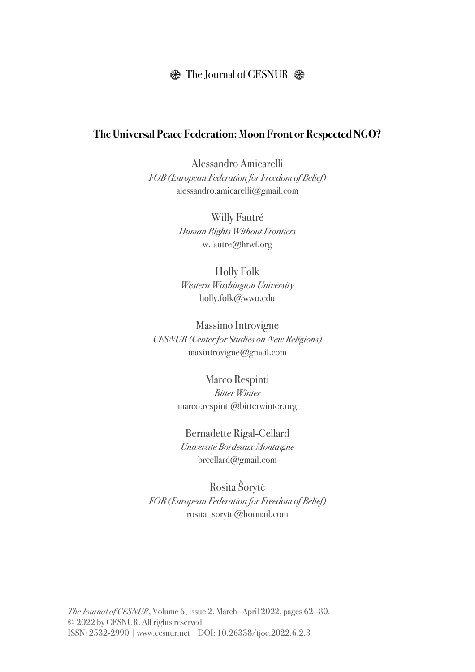## $\circledast$  The Journal of CESNUR  $\circledast$

### **The Universal Peace Federation: Moon Front or Respected NGO?**

Alessandro Amicarelli *FOB (European Federation for Freedom of Belief)* alessandro.amicarelli@gmail.com

> Willy Fautré *Human Rights Without Frontiers* w.fautre@hrwf.org

Holly Folk *Western Washington University* holly.folk@wwu.edu

Massimo Introvigne *CESNUR (Center for Studies on New Religions)* maxintrovigne@gmail.com

> Marco Respinti *Bitter Winter* marco.respinti@bitterwinter.org

Bernadette Rigal-Cellard *Université Bordeaux Montaigne* brcellard@gmail.com

Rosita Šorytė *FOB (European Federation for Freedom of Belief)* rosita\_soryte@hotmail.com

*The Journal of CESNUR*, Volume 6, Issue 2, March—April 2022, pages 62—80. © 2022 by CESNUR. All rights reserved. ISSN: 2532-2990 | www.cesnur.net | DOI: 10.26338/tjoc.2022.6.2.3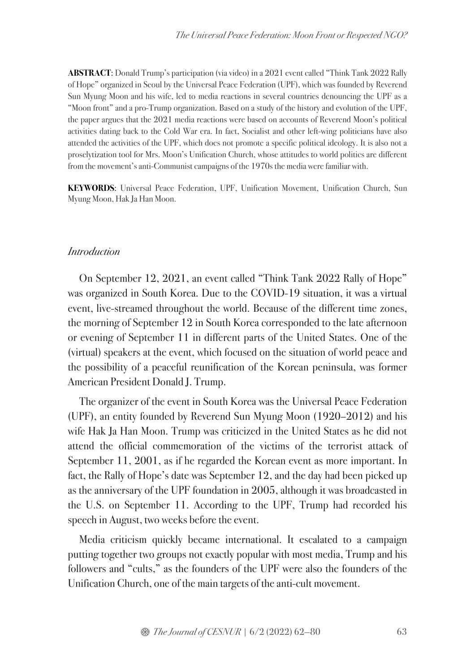**ABSTRACT**: Donald Trump's participation (via video) in a 2021 event called "Think Tank 2022 Rally of Hope" organized in Seoul by the Universal Peace Federation (UPF), which was founded by Reverend Sun Myung Moon and his wife, led to media reactions in several countries denouncing the UPF as a "Moon front" and a pro-Trump organization. Based on a study of the history and evolution of the UPF, the paper argues that the 2021 media reactions were based on accounts of Reverend Moon's political activities dating back to the Cold War era. In fact, Socialist and other left-wing politicians have also attended the activities of the UPF, which does not promote a specific political ideology. It is also not a proselytization tool for Mrs. Moon's Unification Church, whose attitudes to world politics are different from the movement'santi-Communist campaigns of the 1970s the media were familiar with.

**KEYWORDS**: Universal Peace Federation, UPF, Unification Movement, Unification Church, Sun Myung Moon, Hak Ja Han Moon.

#### *Introduction*

On September 12, 2021, an event called "Think Tank 2022 Rally of Hope" was organized in South Korea. Due to the COVID-19 situation, it was a virtual event, live-streamed throughout the world. Because of the different time zones, the morning of September 12 in South Korea corresponded to the late afternoon or evening of September 11 in different parts of the United States. One of the (virtual) speakers at the event, which focused on the situation of world peace and the possibility of a peaceful reunification of the Korean peninsula, was former American President Donald J. Trump.

The organizer of the event in South Korea was the Universal Peace Federation (UPF), an entity founded by Reverend Sun Myung Moon (1920–2012) and his wife Hak Ja Han Moon. Trump was criticized in the United States as he did not attend the official commemoration of the victims of the terrorist attack of September 11, 2001, as if he regarded the Korean event as more important. In fact, the Rally of Hope's date was September 12, and the day had been picked up as the anniversary of the UPF foundation in 2005, although it was broadcasted in the U.S. on September 11. According to the UPF, Trump had recorded his speech in August, two weeks before the event.

Media criticism quickly became international. It escalated to a campaign putting together two groups not exactly popular with most media, Trump and his followers and "cults," as the founders of the UPF were also the founders of the Unification Church, one of the main targets of the anti-cult movement.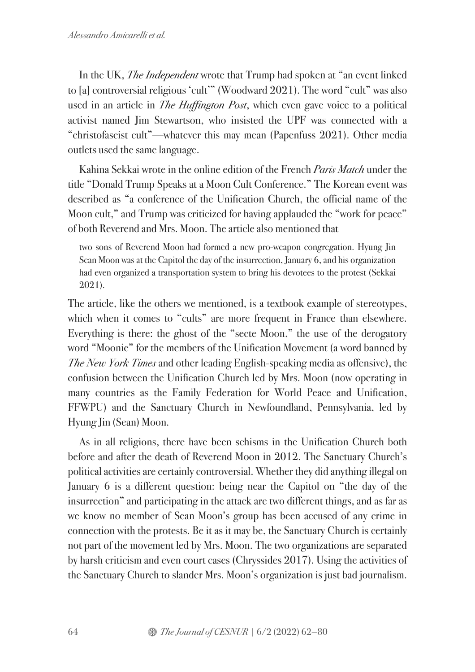In the UK, *The Independent* wrote that Trump had spoken at "an event linked to [a] controversial religious 'cult'" (Woodward 2021). The word "cult" was also used in an article in *The Huffington Post*, which even gave voice to a political activist named Jim Stewartson, who insisted the UPF was connected with a "christofascist cult"—whatever this may mean (Papenfuss 2021). Other media outlets used the same language.

Kahina Sekkai wrote in the online edition of the French *Paris Match* under the title "Donald Trump Speaks at a Moon Cult Conference." The Korean event was described as "a conference of the Unification Church, the official name of the Moon cult," and Trump was criticized for having applauded the "work for peace" of both Reverend and Mrs. Moon. The article also mentioned that

two sons of Reverend Moon had formed a new pro-weapon congregation. Hyung Jin Sean Moon was at the Capitol the day of the insurrection, January 6, and his organization had even organized a transportation system to bring his devotees to the protest (Sekkai 2021).

The article, like the others we mentioned, is a textbook example of stereotypes, which when it comes to "cults" are more frequent in France than elsewhere. Everything is there: the ghost of the "secte Moon," the use of the derogatory word "Moonie" for the members of the Unification Movement (a word banned by *The New York Times* and other leading English-speaking media as offensive), the confusion between the Unification Church led by Mrs. Moon (now operating in many countries as the Family Federation for World Peace and Unification, FFWPU) and the Sanctuary Church in Newfoundland, Pennsylvania, led by Hyung Jin (Sean) Moon.

As in all religions, there have been schisms in the Unification Church both before and after the death of Reverend Moon in 2012. The Sanctuary Church's political activities are certainly controversial. Whether they did anything illegal on January 6 is a different question: being near the Capitol on "the day of the insurrection" and participating in the attack are two different things, and as far as we know no member of Sean Moon's group has been accused of any crime in connection with the protests. Be it as it may be, the Sanctuary Church is certainly not part of the movement led by Mrs. Moon. The two organizations are separated by harsh criticism and even court cases (Chryssides 2017). Using the activities of the Sanctuary Church to slander Mrs. Moon's organization is just bad journalism.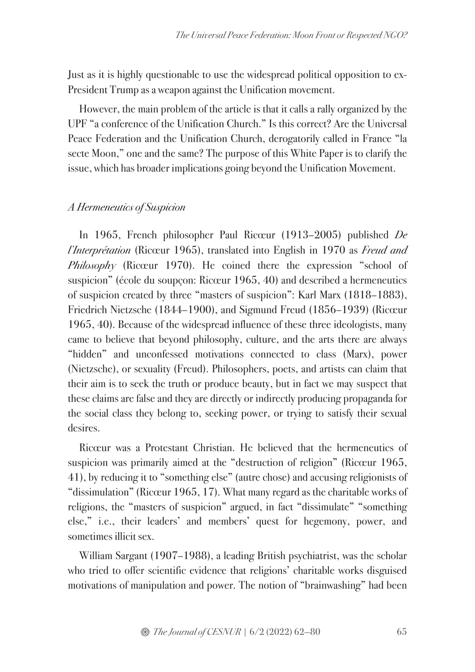Just as it is highly questionable to use the widespread political opposition to ex-President Trump as a weapon against the Unification movement.

However, the main problem of the article is that it calls a rally organized by the UPF "a conference of the Unification Church." Is this correct? Are the Universal Peace Federation and the Unification Church, derogatorily called in France "la secte Moon," one and the same? The purpose of this White Paper is to clarify the issue, which has broader implications going beyond the Unification Movement.

#### *A Hermeneutics of Suspicion*

In 1965, French philosopher Paul Ricœur (1913–2005) published *De l'Interprétation* (Ricœur 1965), translated into English in 1970 as *Freud and Philosophy* (Ricœur 1970). He coined there the expression "school of suspicion" (école du soupçon: Ricœur 1965, 40) and described a hermeneutics of suspicion created by three "masters of suspicion": Karl Marx (1818–1883), Friedrich Nietzsche (1844–1900), and Sigmund Freud (1856–1939) (Ricœur 1965, 40). Because of the widespread influence of these three ideologists, many came to believe that beyond philosophy, culture, and the arts there are always "hidden" and unconfessed motivations connected to class (Marx), power (Nietzsche), or sexuality (Freud). Philosophers, poets, and artists can claim that their aim is to seek the truth or produce beauty, but in fact we may suspect that these claims are false and they are directly or indirectly producing propaganda for the social class they belong to, seeking power, or trying to satisfy their sexual **desires** 

Ricœur was a Protestant Christian. He believed that the hermeneutics of suspicion was primarily aimed at the "destruction of religion" (Ricœur 1965, 41), by reducing it to "something else" (autre chose) and accusing religionists of "dissimulation" (Ricœur 1965, 17). What many regard as the charitable works of religions, the "masters of suspicion" argued, in fact "dissimulate" "something else," i.e., their leaders' and members' quest for hegemony, power, and sometimes illicit sex.

William Sargant (1907–1988), a leading British psychiatrist, was the scholar who tried to offer scientific evidence that religions' charitable works disguised motivations of manipulation and power. The notion of "brainwashing" had been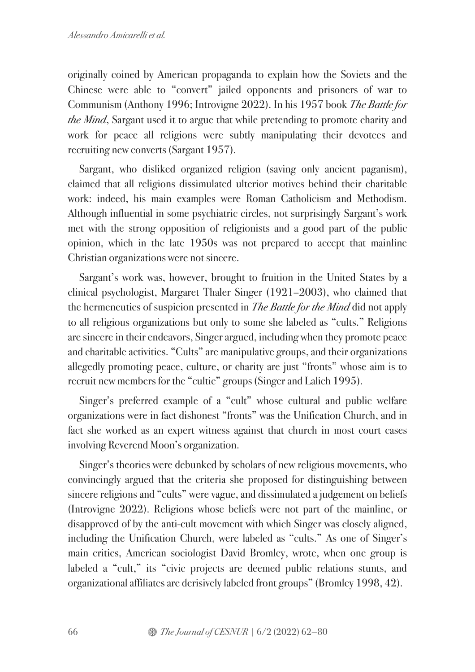originally coined by American propaganda to explain how the Soviets and the Chinese were able to "convert" jailed opponents and prisoners of war to Communism (Anthony 1996; Introvigne 2022). In his 1957 book *The Battle for the Mind*, Sargant used it to argue that while pretending to promote charity and work for peace all religions were subtly manipulating their devotees and recruiting new converts (Sargant 1957).

Sargant, who disliked organized religion (saving only ancient paganism), claimed that all religions dissimulated ulterior motives behind their charitable work: indeed, his main examples were Roman Catholicism and Methodism. Although influential in some psychiatric circles, not surprisingly Sargant's work met with the strong opposition of religionists and a good part of the public opinion, which in the late 1950s was not prepared to accept that mainline Christian organizations were not sincere.

Sargant's work was, however, brought to fruition in the United States by a clinical psychologist, Margaret Thaler Singer (1921–2003), who claimed that the hermeneutics of suspicion presented in *The Battle for the Mind* did not apply to all religious organizations but only to some she labeled as "cults." Religions are sincere in their endeavors, Singer argued, including when they promote peace and charitable activities. "Cults" are manipulative groups, and their organizations allegedly promoting peace, culture, or charity are just "fronts" whose aim is to recruit new members for the "cultic" groups (Singer and Lalich 1995).

Singer's preferred example of a "cult" whose cultural and public welfare organizations were in fact dishonest "fronts" was the Unification Church, and in fact she worked as an expert witness against that church in most court cases involving Reverend Moon's organization.

Singer's theories were debunked by scholars of new religious movements, who convincingly argued that the criteria she proposed for distinguishing between sincere religions and "cults" were vague, and dissimulated a judgement on beliefs (Introvigne 2022). Religions whose beliefs were not part of the mainline, or disapproved of by the anti-cult movement with which Singer was closely aligned, including the Unification Church, were labeled as "cults." As one of Singer's main critics, American sociologist David Bromley, wrote, when one group is labeled a "cult," its "civic projects are deemed public relations stunts, and organizational affiliates are derisively labeled front groups" (Bromley 1998, 42).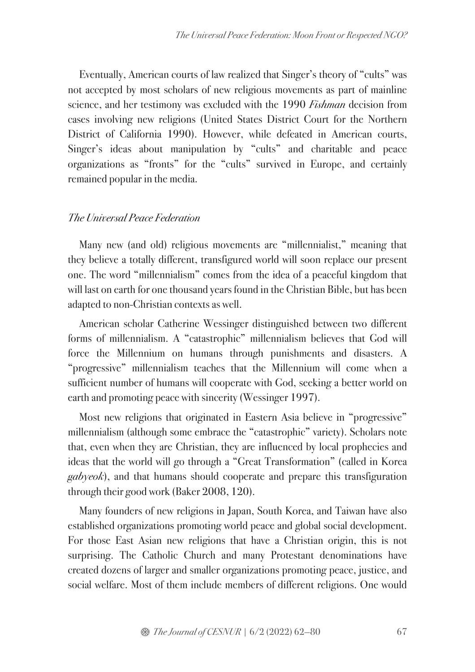Eventually, American courts of law realized that Singer's theory of "cults" was not accepted by most scholars of new religious movements as part of mainline science, and her testimony was excluded with the 1990 *Fishman* decision from cases involving new religions (United States District Court for the Northern District of California 1990). However, while defeated in American courts, Singer's ideas about manipulation by "cults" and charitable and peace organizations as "fronts" for the "cults" survived in Europe, and certainly remained popular in the media.

### *The Universal Peace Federation*

Many new (and old) religious movements are "millennialist," meaning that they believe a totally different, transfigured world will soon replace our present one. The word "millennialism" comes from the idea of a peaceful kingdom that will last on earth for one thousand years found in the Christian Bible, but has been adapted to non-Christian contexts as well.

American scholar Catherine Wessinger distinguished between two different forms of millennialism. A "catastrophic" millennialism believes that God will force the Millennium on humans through punishments and disasters. A "progressive" millennialism teaches that the Millennium will come when a sufficient number of humans will cooperate with God, seeking a better world on earth and promoting peace with sincerity (Wessinger 1997).

Most new religions that originated in Eastern Asia believe in "progressive" millennialism (although some embrace the "catastrophic" variety). Scholars note that, even when they are Christian, they are influenced by local prophecies and ideas that the world will go through a "Great Transformation" (called in Korea *gabyeok*), and that humans should cooperate and prepare this transfiguration through their good work (Baker 2008, 120).

Many founders of new religions in Japan, South Korea, and Taiwan have also established organizations promoting world peace and global social development. For those East Asian new religions that have a Christian origin, this is not surprising. The Catholic Church and many Protestant denominations have created dozens of larger and smaller organizations promoting peace, justice, and social welfare. Most of them include members of different religions. One would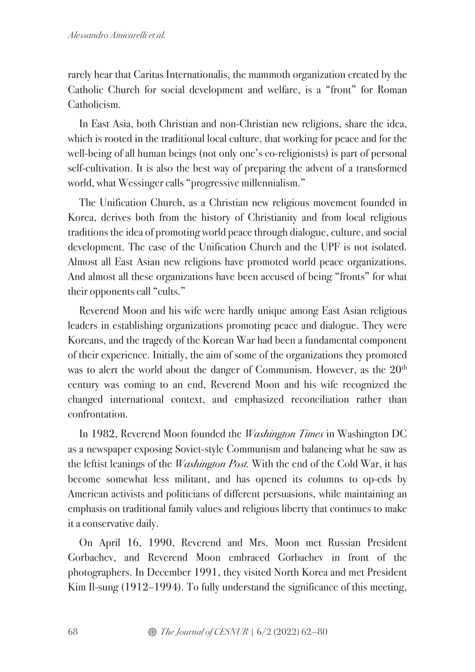rarely hear that Caritas Internationalis, the mammoth organization created by the Catholic Church for social development and welfare, is a "front" for Roman Catholicism.

In East Asia, both Christian and non-Christian new religions, share the idea, which is rooted in the traditional local culture, that working for peace and for the well-being of all human beings (not only one's co-religionists) is part of personal self-cultivation. It is also the best way of preparing the advent of a transformed world, what Wessinger calls "progressive millennialism."

The Unification Church, as a Christian new religious movement founded in Korea, derives both from the history of Christianity and from local religious traditions the idea of promoting world peace through dialogue, culture, and social development. The case of the Unification Church and the UPF is not isolated. Almost all East Asian new religions have promoted world peace organizations. And almost all these organizations have been accused of being "fronts" for what their opponents call "cults."

Reverend Moon and his wife were hardly unique among East Asian religious leaders in establishing organizations promoting peace and dialogue. They were Koreans, and the tragedy of the Korean War had been a fundamental component of their experience. Initially, the aim of some of the organizations they promoted was to alert the world about the danger of Communism. However, as the  $20<sup>th</sup>$ century was coming to an end, Reverend Moon and his wife recognized the changed international context, and emphasized reconciliation rather than confrontation.

In 1982, Reverend Moon founded the *Washington Times* in Washington DC as a newspaper exposing Soviet-style Communism and balancing what he saw as the leftist leanings of the *Washington Post.* With the end of the Cold War, it has become somewhat less militant, and has opened its columns to op-eds by American activists and politicians of different persuasions, while maintaining an emphasis on traditional family values and religious liberty that continues to make it a conservative daily.

On April 16, 1990, Reverend and Mrs. Moon met Russian President Gorbachev, and Reverend Moon embraced Gorbachev in front of the photographers. In December 1991, they visited North Korea and met President Kim Il-sung (1912–1994). To fully understand the significance of this meeting,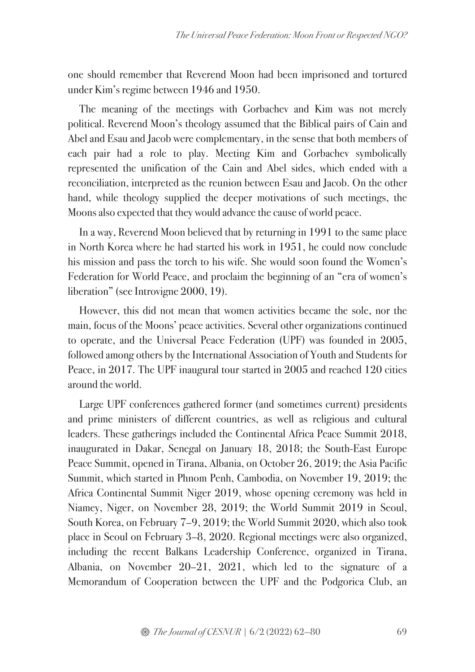one should remember that Reverend Moon had been imprisoned and tortured under Kim's regime between 1946 and 1950.

The meaning of the meetings with Gorbachev and Kim was not merely political. Reverend Moon's theology assumed that the Biblical pairs of Cain and Abel and Esau and Jacob were complementary, in the sense that both members of each pair had a role to play. Meeting Kim and Gorbachev symbolically represented the unification of the Cain and Abel sides, which ended with a reconciliation, interpreted as the reunion between Esau and Jacob. On the other hand, while theology supplied the deeper motivations of such meetings, the Moons also expected that they would advance the cause of world peace.

In a way, Reverend Moon believed that by returning in 1991 to the same place in North Korea where he had started his work in 1951, he could now conclude his mission and pass the torch to his wife. She would soon found the Women's Federation for World Peace, and proclaim the beginning of an "era of women's liberation" (see Introvigne 2000, 19).

However, this did not mean that women activities became the sole, nor the main, focus of the Moons' peace activities. Several other organizations continued to operate, and the Universal Peace Federation (UPF) was founded in 2005, followed among others by the International Association of Youth and Students for Peace, in 2017. The UPF inaugural tour started in 2005 and reached 120 cities around the world.

Large UPF conferences gathered former (and sometimes current) presidents and prime ministers of different countries, as well as religious and cultural leaders. These gatherings included the Continental Africa Peace Summit 2018, inaugurated in Dakar, Senegal on January 18, 2018; the South-East Europe Peace Summit, opened in Tirana, Albania, on October 26, 2019; the Asia Pacific Summit, which started in Phnom Penh, Cambodia, on November 19, 2019; the Africa Continental Summit Niger 2019, whose opening ceremony was held in Niamey, Niger, on November 28, 2019; the World Summit 2019 in Seoul, South Korea, on February 7–9, 2019; the World Summit 2020, which also took place in Seoul on February 3–8, 2020. Regional meetings were also organized, including the recent Balkans Leadership Conference, organized in Tirana, Albania, on November 20–21, 2021, which led to the signature of a Memorandum of Cooperation between the UPF and the Podgorica Club, an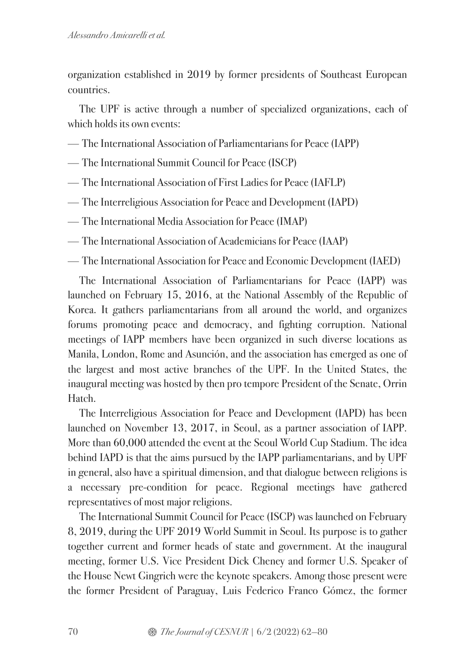organization established in 2019 by former presidents of Southeast European countries.

The UPF is active through a number of specialized organizations, each of which holds its own events:

- The International Association of Parliamentarians for Peace (IAPP)
- The International Summit Council for Peace (ISCP)
- The International Association of First Ladies for Peace (IAFLP)
- The Interreligious Association for Peace and Development (IAPD)
- The International Media Association for Peace (IMAP)
- The International Association of Academicians for Peace (IAAP)
- The International Association for Peace and Economic Development (IAED)

The International Association of Parliamentarians for Peace (IAPP) was launched on February 15, 2016, at the National Assembly of the Republic of Korea. It gathers parliamentarians from all around the world, and organizes forums promoting peace and democracy, and fighting corruption. National meetings of IAPP members have been organized in such diverse locations as Manila, London, Rome and Asunción, and the association has emerged as one of the largest and most active branches of the UPF. In the United States, the inaugural meeting was hosted by then pro tempore President of the Senate, Orrin Hatch.

The Interreligious Association for Peace and Development (IAPD) has been launched on November 13, 2017, in Seoul, as a partner association of IAPP. More than 60,000 attended the event at the Seoul World Cup Stadium. The idea behind IAPD is that the aims pursued by the IAPP parliamentarians, and by UPF in general, also have a spiritual dimension, and that dialogue between religions is a necessary pre-condition for peace. Regional meetings have gathered representatives of most major religions.

The International Summit Council for Peace (ISCP) was launched on February 8, 2019, during the UPF 2019 World Summit in Seoul. Its purpose is to gather together current and former heads of state and government. At the inaugural meeting, former U.S. Vice President Dick Cheney and former U.S. Speaker of the House Newt Gingrich were the keynote speakers. Among those present were the former President of Paraguay, Luis Federico Franco Gómez, the former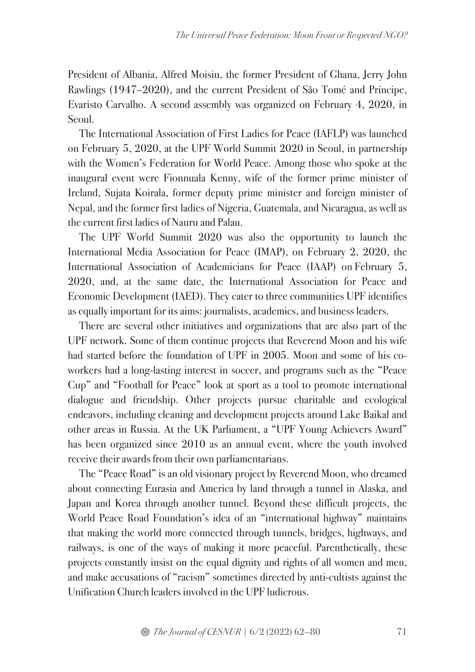President of Albania, Alfred Moisiu, the former President of Ghana, Jerry John Rawlings (1947–2020), and the current President of São Tomé and Príncipe, Evaristo Carvalho. A second assembly was organized on February 4, 2020, in Seoul.

The International Association of First Ladies for Peace (IAFLP) was launched on February 5, 2020, at the UPF World Summit 2020 in Seoul, in partnership with the Women's Federation for World Peace. Among those who spoke at the inaugural event were Fionnuala Kenny, wife of the former prime minister of Ireland, Sujata Koirala, former deputy prime minister and foreign minister of Nepal, and the former first ladies of Nigeria, Guatemala, and Nicaragua, as well as the current first ladies of Nauru and Palau.

The UPF World Summit 2020 was also the opportunity to launch the International Media Association for Peace (IMAP), on February 2, 2020, the International Association of Academicians for Peace (IAAP) on February 5, 2020, and, at the same date, the International Association for Peace and Economic Development (IAED). They cater to three communities UPF identifies as equally important for its aims: journalists, academics, and business leaders.

There are several other initiatives and organizations that are also part of the UPF network. Some of them continue projects that Reverend Moon and his wife had started before the foundation of UPF in 2005. Moon and some of his coworkers had a long-lasting interest in soccer, and programs such as the "Peace Cup" and "Football for Peace" look at sport as a tool to promote international dialogue and friendship. Other projects pursue charitable and ecological endeavors, including cleaning and development projects around Lake Baikal and other areas in Russia. At the UK Parliament, a "UPF Young Achievers Award" has been organized since 2010 as an annual event, where the youth involved receive their awards from their own parliamentarians.

The "Peace Road" is an old visionary project by Reverend Moon, who dreamed about connecting Eurasia and America by land through a tunnel in Alaska, and Japan and Korea through another tunnel. Beyond these difficult projects, the World Peace Road Foundation's idea of an "international highway" maintains that making the world more connected through tunnels, bridges, highways, and railways, is one of the ways of making it more peaceful. Parenthetically, these projects constantly insist on the equal dignity and rights of all women and men, and make accusations of "racism" sometimes directed by anti-cultists against the Unification Church leaders involved in the UPF ludicrous.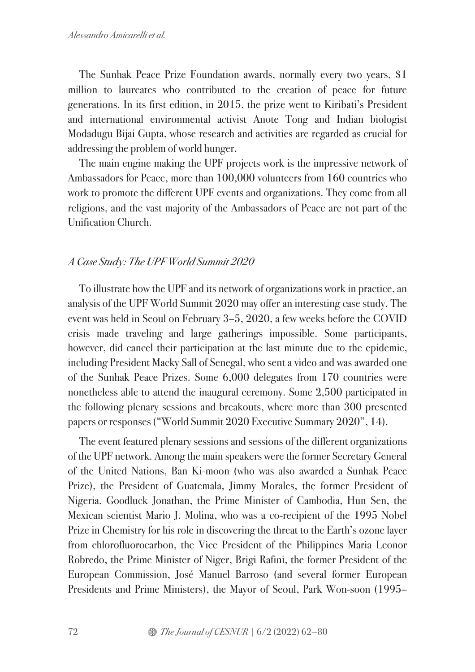The Sunhak Peace Prize Foundation awards, normally every two years, \$1 million to laureates who contributed to the creation of peace for future generations. In its first edition, in 2015, the prize went to Kiribati's President and international environmental activist Anote Tong and Indian biologist Modadugu Bijai Gupta, whose research and activities are regarded as crucial for addressing the problem of world hunger.

The main engine making the UPF projects work is the impressive network of Ambassadors for Peace, more than 100,000 volunteers from 160 countries who work to promote the different UPF events and organizations. They come from all religions, and the vast majority of the Ambassadors of Peace are not part of the Unification Church.

## *A Case Study: The UPF World Summit 2020*

To illustrate how the UPF and its network of organizations work in practice, an analysis of the UPF World Summit 2020 may offer an interesting case study. The event was held in Seoul on February 3–5, 2020, a few weeks before the COVID crisis made traveling and large gatherings impossible. Some participants, however, did cancel their participation at the last minute due to the epidemic, including President Macky Sall of Senegal, who sent a video and was awarded one of the Sunhak Peace Prizes. Some 6,000 delegates from 170 countries were nonetheless able to attend the inaugural ceremony. Some 2,500 participated in the following plenary sessions and breakouts, where more than 300 presented papers or responses ("World Summit 2020 Executive Summary 2020", 14).

The event featured plenary sessions and sessions of the different organizations of the UPF network. Among the main speakers were the former Secretary General of the United Nations, Ban Ki-moon (who was also awarded a Sunhak Peace Prize), the President of Guatemala, Jimmy Morales, the former President of Nigeria, Goodluck Jonathan, the Prime Minister of Cambodia, Hun Sen, the Mexican scientist Mario J. Molina, who was a co-recipient of the 1995 Nobel Prize in Chemistry for his role in discovering the threat to the Earth's ozone layer from chlorofluorocarbon, the Vice President of the Philippines Maria Leonor Robredo, the Prime Minister of Niger, Brigi Rafini, the former President of the European Commission, José Manuel Barroso (and several former European Presidents and Prime Ministers), the Mayor of Seoul, Park Won-soon (1995–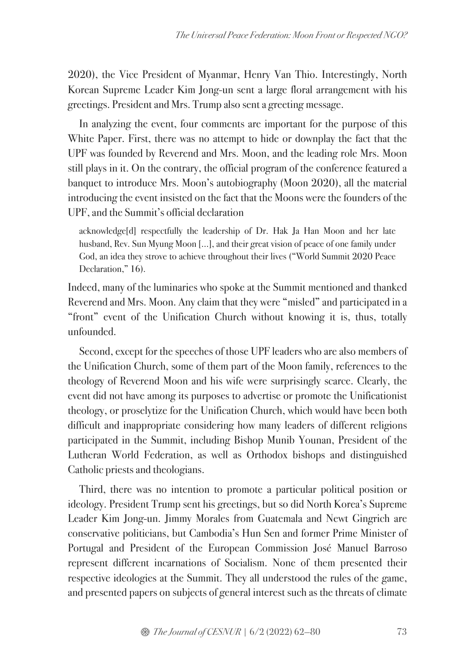2020), the Vice President of Myanmar, Henry Van Thio. Interestingly, North Korean Supreme Leader Kim Jong-un sent a large floral arrangement with his greetings. President and Mrs. Trump also sent a greeting message.

In analyzing the event, four comments are important for the purpose of this White Paper. First, there was no attempt to hide or downplay the fact that the UPF was founded by Reverend and Mrs. Moon, and the leading role Mrs. Moon still plays in it. On the contrary, the official program of the conference featured a banquet to introduce Mrs. Moon's autobiography (Moon 2020), all the material introducing the event insisted on the fact that the Moons were the founders of the UPF, and the Summit's official declaration

acknowledge[d] respectfully the leadership of Dr. Hak Ja Han Moon and her late husband, Rev. Sun Myung Moon […], and their great vision of peace of one family under God, an idea they strove to achieve throughout their lives ("World Summit 2020 Peace Declaration," 16).

Indeed, many of the luminaries who spoke at the Summit mentioned and thanked Reverend and Mrs. Moon. Any claim that they were "misled" and participated in a "front" event of the Unification Church without knowing it is, thus, totally unfounded.

Second, except for the speeches of those UPF leaders who are also members of the Unification Church, some of them part of the Moon family, references to the theology of Reverend Moon and his wife were surprisingly scarce. Clearly, the event did not have among its purposes to advertise or promote the Unificationist theology, or proselytize for the Unification Church, which would have been both difficult and inappropriate considering how many leaders of different religions participated in the Summit, including Bishop Munib Younan, President of the Lutheran World Federation, as well as Orthodox bishops and distinguished Catholic priests and theologians.

Third, there was no intention to promote a particular political position or ideology. President Trump sent his greetings, but so did North Korea's Supreme Leader Kim Jong-un. Jimmy Morales from Guatemala and Newt Gingrich are conservative politicians, but Cambodia's Hun Sen and former Prime Minister of Portugal and President of the European Commission José Manuel Barroso represent different incarnations of Socialism. None of them presented their respective ideologies at the Summit. They all understood the rules of the game, and presented papers on subjects of general interest such as the threats of climate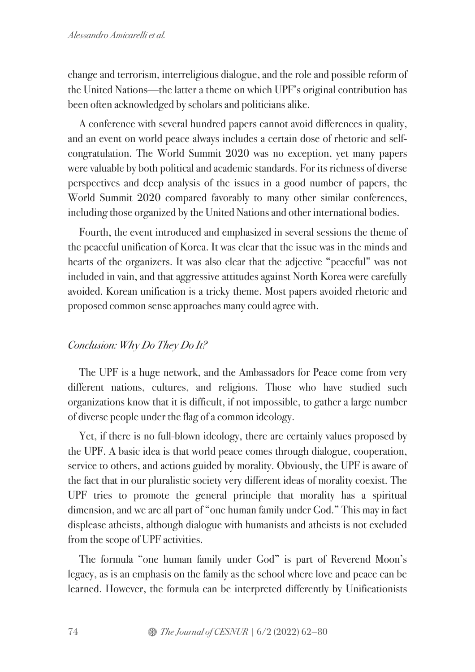change and terrorism, interreligious dialogue, and the role and possible reform of the United Nations—the latter a theme on which UPF's original contribution has been often acknowledged by scholars and politicians alike.

A conference with several hundred papers cannot avoid differences in quality, and an event on world peace always includes a certain dose of rhetoric and selfcongratulation. The World Summit 2020 was no exception, yet many papers were valuable by both political and academic standards. For its richness of diverse perspectives and deep analysis of the issues in a good number of papers, the World Summit 2020 compared favorably to many other similar conferences, including those organized by the United Nations and other international bodies.

Fourth, the event introduced and emphasized in several sessions the theme of the peaceful unification of Korea. It was clear that the issue was in the minds and hearts of the organizers. It was also clear that the adjective "peaceful" was not included in vain, and that aggressive attitudes against North Korea were carefully avoided. Korean unification is a tricky theme. Most papers avoided rhetoric and proposed common sense approaches many could agree with.

# *Conclusion: Why Do They Do It?*

The UPF is a huge network, and the Ambassadors for Peace come from very different nations, cultures, and religions. Those who have studied such organizations know that it is difficult, if not impossible, to gather a large number of diverse people under the flag of a common ideology.

Yet, if there is no full-blown ideology, there are certainly values proposed by the UPF. A basic idea is that world peace comes through dialogue, cooperation, service to others, and actions guided by morality. Obviously, the UPF is aware of the fact that in our pluralistic society very different ideas of morality coexist. The UPF tries to promote the general principle that morality has a spiritual dimension, and we are all part of "one human family under God." This may in fact displease atheists, although dialogue with humanists and atheists is not excluded from the scope of UPF activities.

The formula "one human family under God" is part of Reverend Moon's legacy, as is an emphasis on the family as the school where love and peace can be learned. However, the formula can be interpreted differently by Unificationists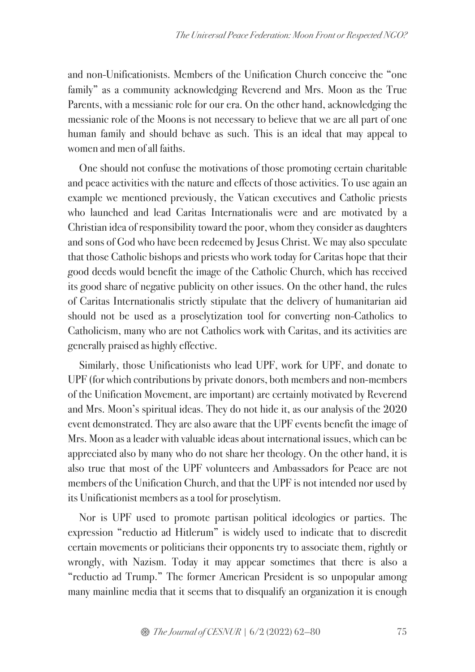and non-Unificationists. Members of the Unification Church conceive the "one family" as a community acknowledging Reverend and Mrs. Moon as the True Parents, with a messianic role for our era. On the other hand, acknowledging the messianic role of the Moons is not necessary to believe that we are all part of one human family and should behave as such. This is an ideal that may appeal to women and men of all faiths.

One should not confuse the motivations of those promoting certain charitable and peace activities with the nature and effects of those activities. To use again an example we mentioned previously, the Vatican executives and Catholic priests who launched and lead Caritas Internationalis were and are motivated by a Christian idea of responsibility toward the poor, whom they consider as daughters and sons of God who have been redeemed by Jesus Christ. We may also speculate that those Catholic bishops and priests who work today for Caritas hope that their good deeds would benefit the image of the Catholic Church, which has received its good share of negative publicity on other issues. On the other hand, the rules of Caritas Internationalis strictly stipulate that the delivery of humanitarian aid should not be used as a proselytization tool for converting non-Catholics to Catholicism, many who are not Catholics work with Caritas, and its activities are generally praised as highly effective.

Similarly, those Unificationists who lead UPF, work for UPF, and donate to UPF (for which contributions by private donors, both members and non-members of the Unification Movement, are important) are certainly motivated by Reverend and Mrs. Moon's spiritual ideas. They do not hide it, as our analysis of the 2020 event demonstrated. They are also aware that the UPF events benefit the image of Mrs. Moon as a leader with valuable ideas about international issues, which can be appreciated also by many who do not share her theology. On the other hand, it is also true that most of the UPF volunteers and Ambassadors for Peace are not members of the Unification Church, and that the UPF is not intended nor used by its Unificationist members as a tool for proselytism.

Nor is UPF used to promote partisan political ideologies or parties. The expression "reductio ad Hitlerum" is widely used to indicate that to discredit certain movements or politicians their opponents try to associate them, rightly or wrongly, with Nazism. Today it may appear sometimes that there is also a "reductio ad Trump." The former American President is so unpopular among many mainline media that it seems that to disqualify an organization it is enough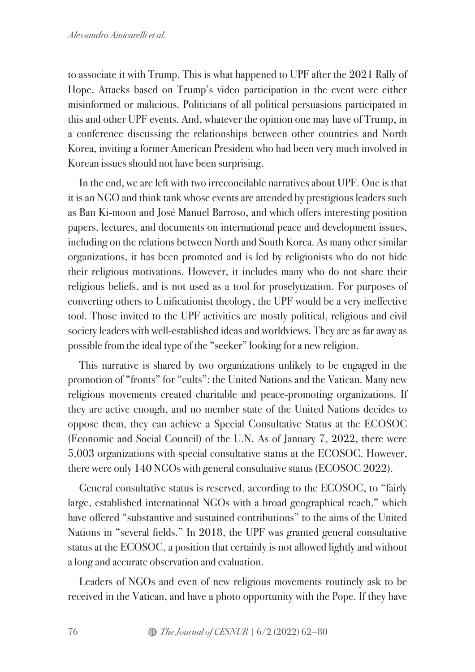to associate it with Trump. This is what happened to UPF after the 2021 Rally of Hope. Attacks based on Trump's video participation in the event were either misinformed or malicious. Politicians of all political persuasions participated in this and other UPF events. And, whatever the opinion one may have of Trump, in a conference discussing the relationships between other countries and North Korea, inviting a former American President who had been very much involved in Korean issues should not have been surprising.

In the end, we are left with two irreconcilable narratives about UPF. One is that it is an NGO and think tank whose events are attended by prestigious leaders such as Ban Ki-moon and José Manuel Barroso, and which offers interesting position papers, lectures, and documents on international peace and development issues, including on the relations between North and South Korea. As many other similar organizations, it has been promoted and is led by religionists who do not hide their religious motivations. However, it includes many who do not share their religious beliefs, and is not used as a tool for proselytization. For purposes of converting others to Unificationist theology, the UPF would be a very ineffective tool. Those invited to the UPF activities are mostly political, religious and civil society leaders with well-established ideas and worldviews. They are as far away as possible from the ideal type of the "seeker" looking for a new religion.

This narrative is shared by two organizations unlikely to be engaged in the promotion of "fronts" for "cults": the United Nations and the Vatican. Many new religious movements created charitable and peace-promoting organizations. If they are active enough, and no member state of the United Nations decides to oppose them, they can achieve a Special Consultative Status at the ECOSOC (Economic and Social Council) of the U.N. As of January 7, 2022, there were 5,003 organizations with special consultative status at the ECOSOC. However, there were only 140 NGOs with general consultative status (ECOSOC 2022).

General consultative status is reserved, according to the ECOSOC, to "fairly large, established international NGOs with a broad geographical reach," which have offered "substantive and sustained contributions" to the aims of the United Nations in "several fields." In 2018, the UPF was granted general consultative status at the ECOSOC, a position that certainly is not allowed lightly and without a long and accurate observation and evaluation.

Leaders of NGOs and even of new religious movements routinely ask to be received in the Vatican, and have a photo opportunity with the Pope. If they have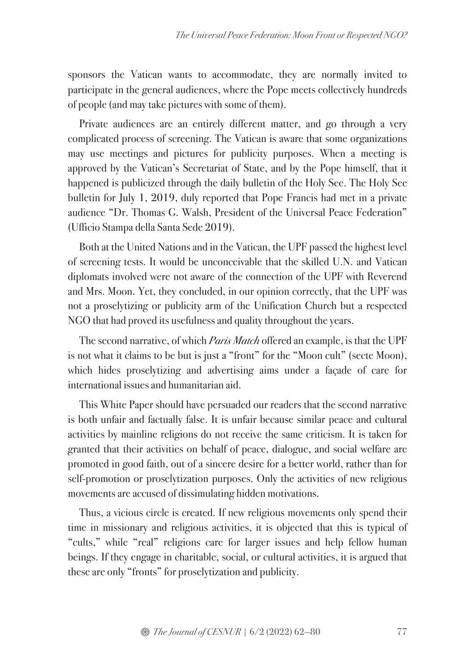sponsors the Vatican wants to accommodate, they are normally invited to participate in the general audiences, where the Pope meets collectively hundreds of people (and may take pictures with some of them).

Private audiences are an entirely different matter, and go through a very complicated process of screening. The Vatican is aware that some organizations may use meetings and pictures for publicity purposes. When a meeting is approved by the Vatican's Secretariat of State, and by the Pope himself, that it happened is publicized through the daily bulletin of the Holy See. The Holy See bulletin for July 1, 2019, duly reported that Pope Francis had met in a private audience "Dr. Thomas G. Walsh, President of the Universal Peace Federation" (Ufficio Stampa della Santa Sede 2019).

Both at the United Nations and in the Vatican, the UPF passed the highest level of screening tests. It would be unconceivable that the skilled U.N. and Vatican diplomats involved were not aware of the connection of the UPF with Reverend and Mrs. Moon. Yet, they concluded, in our opinion correctly, that the UPF was not a proselytizing or publicity arm of the Unification Church but a respected NGO that had proved its usefulness and quality throughout the years.

The second narrative, of which *Paris Match* offered an example, is that the UPF is not what it claims to be but is just a "front" for the "Moon cult" (secte Moon), which hides proselytizing and advertising aims under a façade of care for international issues and humanitarian aid.

This White Paper should have persuaded our readers that the second narrative is both unfair and factually false. It is unfair because similar peace and cultural activities by mainline religions do not receive the same criticism. It is taken for granted that their activities on behalf of peace, dialogue, and social welfare are promoted in good faith, out of a sincere desire for a better world, rather than for self-promotion or proselytization purposes. Only the activities of new religious movements are accused of dissimulating hidden motivations.

Thus, a vicious circle is created. If new religious movements only spend their time in missionary and religious activities, it is objected that this is typical of "cults," while "real" religions care for larger issues and help fellow human beings. If they engage in charitable, social, or cultural activities, it is argued that these are only "fronts" for proselytization and publicity.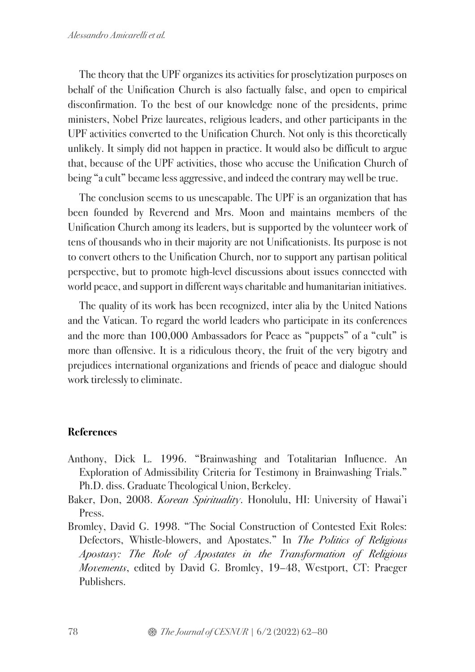The theory that the UPF organizes its activities for proselytization purposes on behalf of the Unification Church is also factually false, and open to empirical disconfirmation. To the best of our knowledge none of the presidents, prime ministers, Nobel Prize laureates, religious leaders, and other participants in the UPF activities converted to the Unification Church. Not only is this theoretically unlikely. It simply did not happen in practice. It would also be difficult to argue that, because of the UPF activities, those who accuse the Unification Church of being "a cult" became less aggressive, and indeed the contrary may well be true.

The conclusion seems to us unescapable. The UPF is an organization that has been founded by Reverend and Mrs. Moon and maintains members of the Unification Church among its leaders, but is supported by the volunteer work of tens of thousands who in their majority are not Unificationists. Its purpose is not to convert others to the Unification Church, nor to support any partisan political perspective, but to promote high-level discussions about issues connected with world peace, and support in different ways charitable and humanitarian initiatives.

The quality of its work has been recognized, inter alia by the United Nations and the Vatican. To regard the world leaders who participate in its conferences and the more than 100,000 Ambassadors for Peace as "puppets" of a "cult" is more than offensive. It is a ridiculous theory, the fruit of the very bigotry and prejudices international organizations and friends of peace and dialogue should work tirelessly to eliminate.

# **References**

- Anthony, Dick L. 1996. "Brainwashing and Totalitarian Influence. An Exploration of Admissibility Criteria for Testimony in Brainwashing Trials." Ph.D. diss. Graduate Theological Union, Berkeley.
- Baker, Don, 2008. *Korean Spirituality*. Honolulu, HI: University of Hawai'i Press.
- Bromley, David G. 1998. "The Social Construction of Contested Exit Roles: Defectors, Whistle-blowers, and Apostates." In *The Politics of Religious Apostasy: The Role of Apostates in the Transformation of Religious Movements*, edited by David G. Bromley, 19–48, Westport, CT: Praeger Publishers.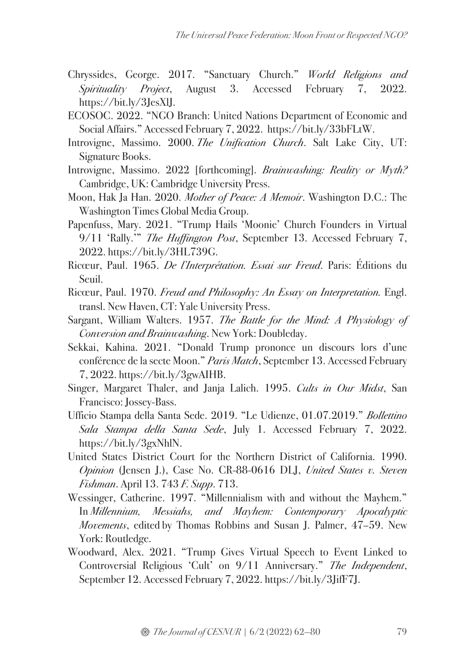- Chryssides, George. 2017. "Sanctuary Church." *World Religions and Spirituality Project*, August 3. Accessed February 7, 2022. https://bit.ly/3JesXlJ.
- ECOSOC. 2022. "NGO Branch: United Nations Department of Economic and Social Affairs." Accessed February 7, 2022. https://bit.ly/33bFLtW.
- Introvigne, Massimo. 2000. *The Unification Church*. Salt Lake City, UT: Signature Books.
- Introvigne, Massimo. 2022 [forthcoming]. *Brainwashing: Reality or Myth?*  Cambridge, UK: Cambridge University Press.
- Moon, Hak Ja Han. 2020. *Mother of Peace: A Memoir*. Washington D.C.: The Washington Times Global Media Group.
- Papenfuss, Mary. 2021. "Trump Hails 'Moonie' Church Founders in Virtual 9/11 'Rally.'" *The Huffington Post*, September 13. Accessed February 7, 2022. https://bit.ly/3HL739G.
- Ricœur, Paul. 1965. *De l'Interprétation. Essai sur Freud*. Paris: Éditions du Seuil.
- Ricœur, Paul. 1970. *Freud and Philosophy: An Essay on Interpretation.* Engl. transl. New Haven, CT: Yale University Press.
- Sargant, William Walters. 1957. *The Battle for the Mind: A Physiology of Conversion and Brainwashing*. New York: Doubleday.
- Sekkai, Kahina. 2021. "Donald Trump prononce un discours lors d'une conférence de la secte Moon." *Paris Match*, September 13. Accessed February 7, 2022. https://bit.ly/3gwAIHB.
- Singer, Margaret Thaler, and Janja Lalich. 1995. *Cults in Our Midst*, San Francisco: Jossey-Bass.
- Ufficio Stampa della Santa Sede. 2019. "Le Udienze, 01.07.2019." *Bollettino Sala Stampa della Santa Sede*, July 1. Accessed February 7, 2022. https://bit.ly/3gxNhlN.
- United States District Court for the Northern District of California. 1990. *Opinion* (Jensen J.), Case No. CR-88-0616 DLJ, *United States v. Steven Fishman*. April 13. 743 *F. Supp*. 713.
- Wessinger, Catherine. 1997. "Millennialism with and without the Mayhem." In *Millennium, Messiahs, and Mayhem: Contemporary Apocalyptic Movements*, edited by Thomas Robbins and Susan J. Palmer, 47–59. New York: Routledge.
- Woodward, Alex. 2021. "Trump Gives Virtual Speech to Event Linked to Controversial Religious 'Cult' on 9/11 Anniversary." *The Independent*, September 12. Accessed February 7, 2022. https://bit.ly/3JifF7J.